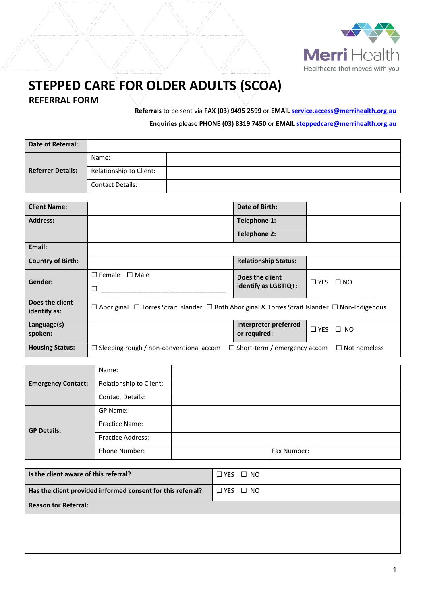

## **STEPPED CARE FOR OLDER ADULTS (SCOA) REFERRAL FORM**

**Referrals** to be sent via **FAX (03) 9495 2599** or **EMAIL [service.access@merrihealth.org.au](mailto:service.access@merrihealth.org.au)**

**Enquiries** please **PHONE (03) 8319 7450** or **EMAIL [steppedcare@merrihealth.org.au](mailto:steppedcare@merrihealth.org.au)**

| Date of Referral:        |                         |  |
|--------------------------|-------------------------|--|
|                          | Name:                   |  |
| <b>Referrer Details:</b> | Relationship to Client: |  |
|                          | <b>Contact Details:</b> |  |

| <b>Client Name:</b>             |                                                                                                   | Date of Birth:                      |                      |  |
|---------------------------------|---------------------------------------------------------------------------------------------------|-------------------------------------|----------------------|--|
| <b>Address:</b>                 |                                                                                                   | Telephone 1:                        |                      |  |
|                                 |                                                                                                   | Telephone 2:                        |                      |  |
| Email:                          |                                                                                                   |                                     |                      |  |
| <b>Country of Birth:</b>        |                                                                                                   | <b>Relationship Status:</b>         |                      |  |
| Gender:                         | $\square$ Female<br>$\Box$ Male                                                                   | Does the client                     | $\Box$ YES $\Box$ NO |  |
|                                 | П                                                                                                 | identify as LGBTIQ+:                |                      |  |
| Does the client<br>identify as: | □ Aboriginal □ Torres Strait Islander □ Both Aboriginal & Torres Strait Islander □ Non-Indigenous |                                     |                      |  |
|                                 |                                                                                                   |                                     |                      |  |
| Language(s)                     |                                                                                                   | Interpreter preferred               | $\Box$ YES $\Box$ NO |  |
| spoken:                         |                                                                                                   | or required:                        |                      |  |
| <b>Housing Status:</b>          | $\Box$ Sleeping rough / non-conventional accom                                                    | $\Box$ Short-term / emergency accom | $\Box$ Not homeless  |  |

|                           | Name:                    |             |  |
|---------------------------|--------------------------|-------------|--|
| <b>Emergency Contact:</b> | Relationship to Client:  |             |  |
|                           | <b>Contact Details:</b>  |             |  |
| <b>GP Details:</b>        | GP Name:                 |             |  |
|                           | <b>Practice Name:</b>    |             |  |
|                           | <b>Practice Address:</b> |             |  |
|                           | <b>Phone Number:</b>     | Fax Number: |  |

| $\Box$ YES $\Box$ NO |
|----------------------|
| $\Box$ YES $\Box$ NO |
|                      |
|                      |
|                      |
|                      |